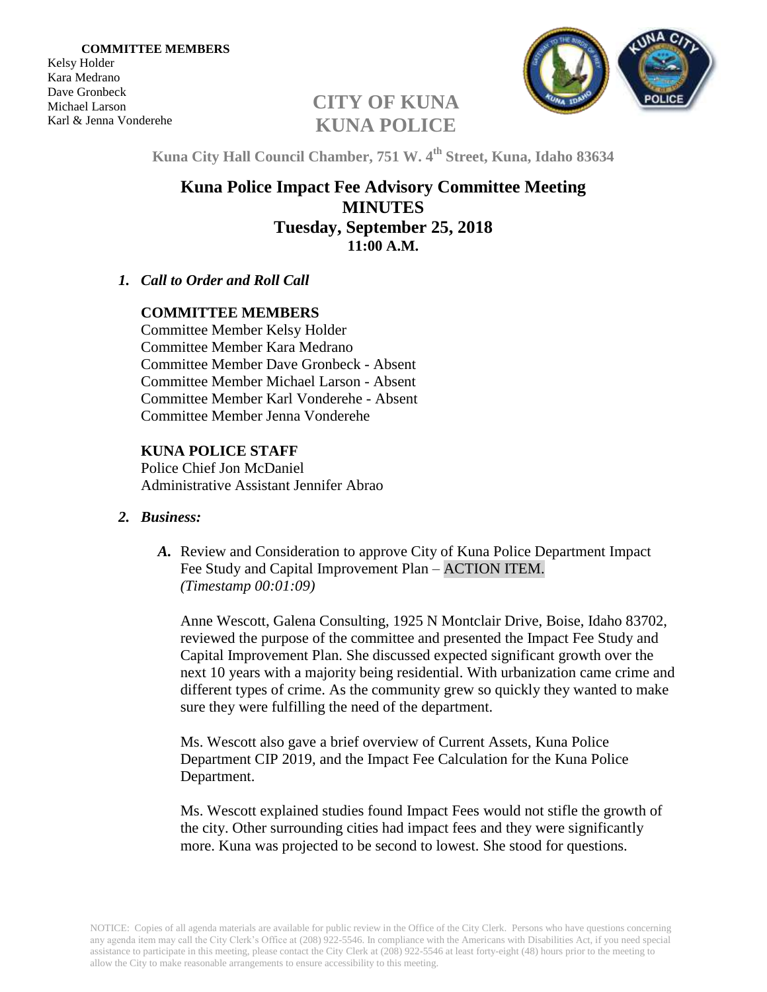Kelsy Holder Kara Medrano Dave Gronbeck Michael Larson Karl & Jenna Vonderehe



# **CITY OF KUNA KUNA POLICE**

**Kuna City Hall Council Chamber, 751 W. 4 th Street, Kuna, Idaho 83634**

# **Kuna Police Impact Fee Advisory Committee Meeting MINUTES Tuesday, September 25, 2018 11:00 A.M.**

*1. Call to Order and Roll Call*

### **COMMITTEE MEMBERS**

Committee Member Kelsy Holder Committee Member Kara Medrano Committee Member Dave Gronbeck - Absent Committee Member Michael Larson - Absent Committee Member Karl Vonderehe - Absent Committee Member Jenna Vonderehe

## **KUNA POLICE STAFF**

Police Chief Jon McDaniel Administrative Assistant Jennifer Abrao

#### *2. Business:*

*A.* Review and Consideration to approve City of Kuna Police Department Impact Fee Study and Capital Improvement Plan – ACTION ITEM. *(Timestamp 00:01:09)*

Anne Wescott, Galena Consulting, 1925 N Montclair Drive, Boise, Idaho 83702, reviewed the purpose of the committee and presented the Impact Fee Study and Capital Improvement Plan. She discussed expected significant growth over the next 10 years with a majority being residential. With urbanization came crime and different types of crime. As the community grew so quickly they wanted to make sure they were fulfilling the need of the department.

Ms. Wescott also gave a brief overview of Current Assets, Kuna Police Department CIP 2019, and the Impact Fee Calculation for the Kuna Police Department.

Ms. Wescott explained studies found Impact Fees would not stifle the growth of the city. Other surrounding cities had impact fees and they were significantly more. Kuna was projected to be second to lowest. She stood for questions.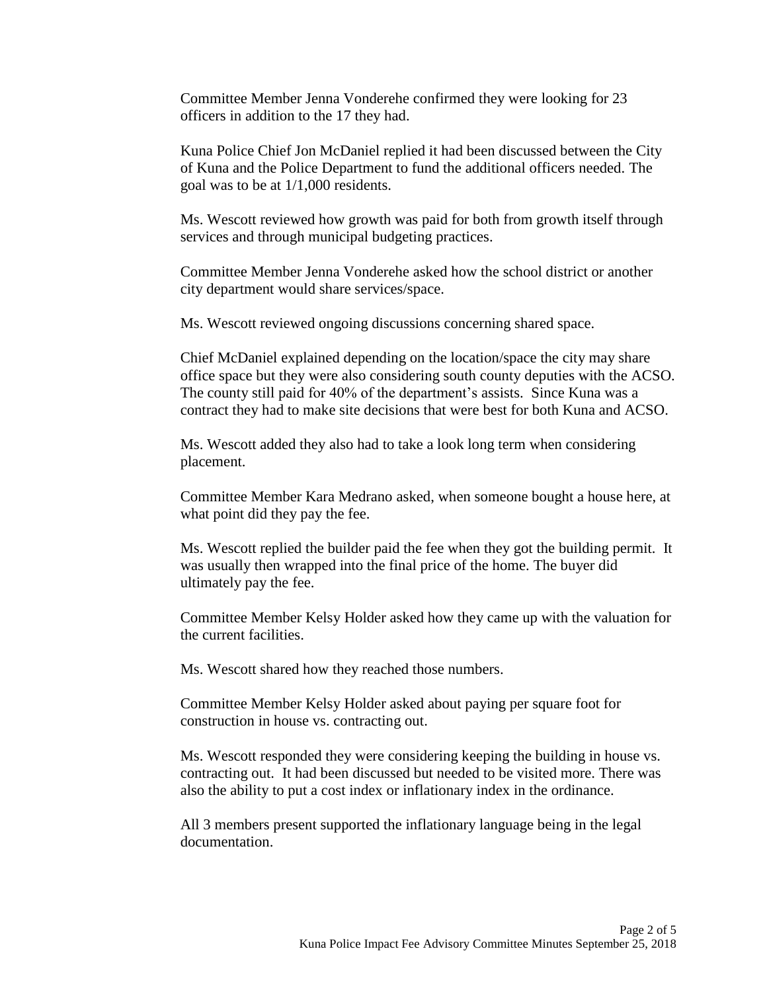Committee Member Jenna Vonderehe confirmed they were looking for 23 officers in addition to the 17 they had.

Kuna Police Chief Jon McDaniel replied it had been discussed between the City of Kuna and the Police Department to fund the additional officers needed. The goal was to be at 1/1,000 residents.

Ms. Wescott reviewed how growth was paid for both from growth itself through services and through municipal budgeting practices.

Committee Member Jenna Vonderehe asked how the school district or another city department would share services/space.

Ms. Wescott reviewed ongoing discussions concerning shared space.

Chief McDaniel explained depending on the location/space the city may share office space but they were also considering south county deputies with the ACSO. The county still paid for 40% of the department's assists. Since Kuna was a contract they had to make site decisions that were best for both Kuna and ACSO.

Ms. Wescott added they also had to take a look long term when considering placement.

Committee Member Kara Medrano asked, when someone bought a house here, at what point did they pay the fee.

Ms. Wescott replied the builder paid the fee when they got the building permit. It was usually then wrapped into the final price of the home. The buyer did ultimately pay the fee.

Committee Member Kelsy Holder asked how they came up with the valuation for the current facilities.

Ms. Wescott shared how they reached those numbers.

Committee Member Kelsy Holder asked about paying per square foot for construction in house vs. contracting out.

Ms. Wescott responded they were considering keeping the building in house vs. contracting out. It had been discussed but needed to be visited more. There was also the ability to put a cost index or inflationary index in the ordinance.

All 3 members present supported the inflationary language being in the legal documentation.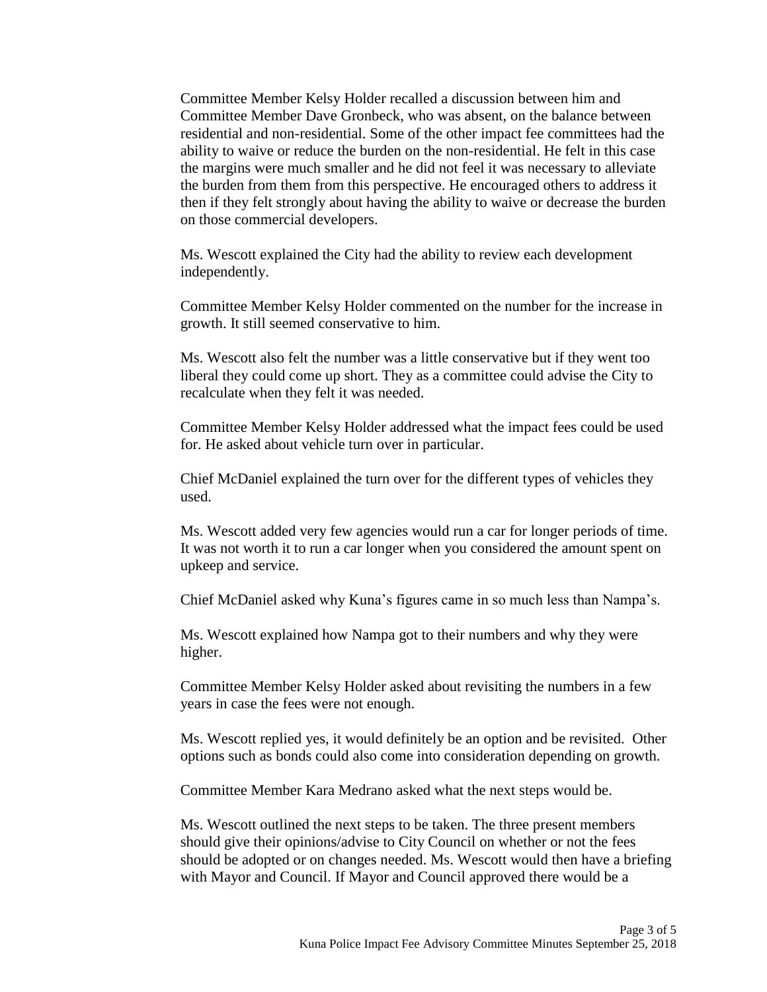Committee Member Kelsy Holder recalled a discussion between him and Committee Member Dave Gronbeck, who was absent, on the balance between residential and non-residential. Some of the other impact fee committees had the ability to waive or reduce the burden on the non-residential. He felt in this case the margins were much smaller and he did not feel it was necessary to alleviate the burden from them from this perspective. He encouraged others to address it then if they felt strongly about having the ability to waive or decrease the burden on those commercial developers.

Ms. Wescott explained the City had the ability to review each development independently.

Committee Member Kelsy Holder commented on the number for the increase in growth. It still seemed conservative to him.

Ms. Wescott also felt the number was a little conservative but if they went too liberal they could come up short. They as a committee could advise the City to recalculate when they felt it was needed.

Committee Member Kelsy Holder addressed what the impact fees could be used for. He asked about vehicle turn over in particular.

Chief McDaniel explained the turn over for the different types of vehicles they used.

Ms. Wescott added very few agencies would run a car for longer periods of time. It was not worth it to run a car longer when you considered the amount spent on upkeep and service.

Chief McDaniel asked why Kuna's figures came in so much less than Nampa's.

Ms. Wescott explained how Nampa got to their numbers and why they were higher.

Committee Member Kelsy Holder asked about revisiting the numbers in a few years in case the fees were not enough.

Ms. Wescott replied yes, it would definitely be an option and be revisited. Other options such as bonds could also come into consideration depending on growth.

Committee Member Kara Medrano asked what the next steps would be.

Ms. Wescott outlined the next steps to be taken. The three present members should give their opinions/advise to City Council on whether or not the fees should be adopted or on changes needed. Ms. Wescott would then have a briefing with Mayor and Council. If Mayor and Council approved there would be a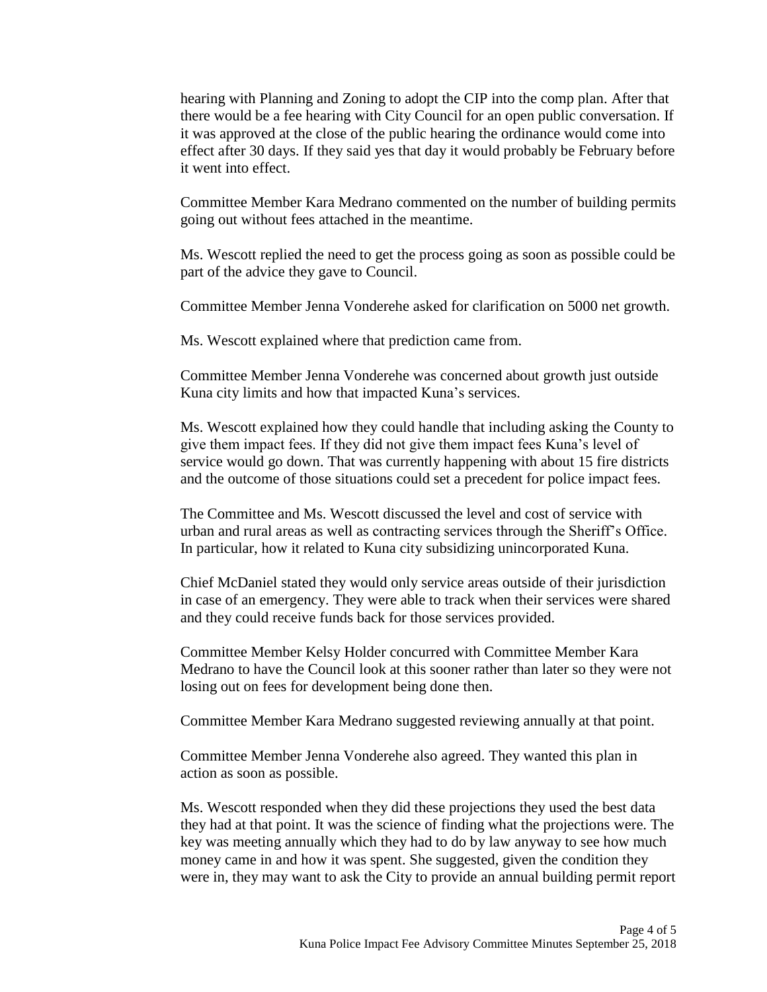hearing with Planning and Zoning to adopt the CIP into the comp plan. After that there would be a fee hearing with City Council for an open public conversation. If it was approved at the close of the public hearing the ordinance would come into effect after 30 days. If they said yes that day it would probably be February before it went into effect.

Committee Member Kara Medrano commented on the number of building permits going out without fees attached in the meantime.

Ms. Wescott replied the need to get the process going as soon as possible could be part of the advice they gave to Council.

Committee Member Jenna Vonderehe asked for clarification on 5000 net growth.

Ms. Wescott explained where that prediction came from.

Committee Member Jenna Vonderehe was concerned about growth just outside Kuna city limits and how that impacted Kuna's services.

Ms. Wescott explained how they could handle that including asking the County to give them impact fees. If they did not give them impact fees Kuna's level of service would go down. That was currently happening with about 15 fire districts and the outcome of those situations could set a precedent for police impact fees.

The Committee and Ms. Wescott discussed the level and cost of service with urban and rural areas as well as contracting services through the Sheriff's Office. In particular, how it related to Kuna city subsidizing unincorporated Kuna.

Chief McDaniel stated they would only service areas outside of their jurisdiction in case of an emergency. They were able to track when their services were shared and they could receive funds back for those services provided.

Committee Member Kelsy Holder concurred with Committee Member Kara Medrano to have the Council look at this sooner rather than later so they were not losing out on fees for development being done then.

Committee Member Kara Medrano suggested reviewing annually at that point.

Committee Member Jenna Vonderehe also agreed. They wanted this plan in action as soon as possible.

Ms. Wescott responded when they did these projections they used the best data they had at that point. It was the science of finding what the projections were. The key was meeting annually which they had to do by law anyway to see how much money came in and how it was spent. She suggested, given the condition they were in, they may want to ask the City to provide an annual building permit report